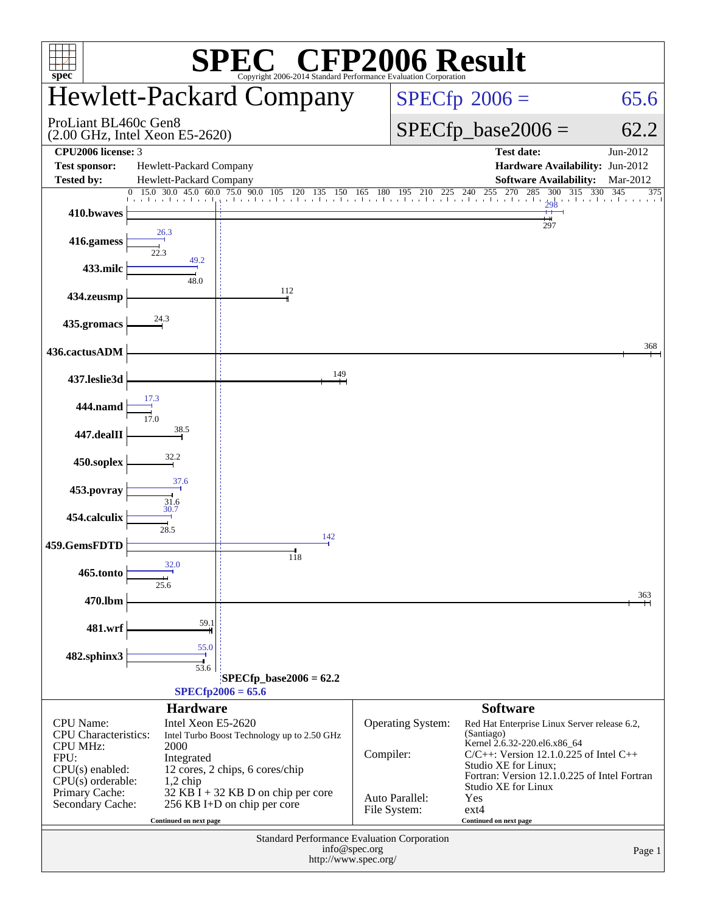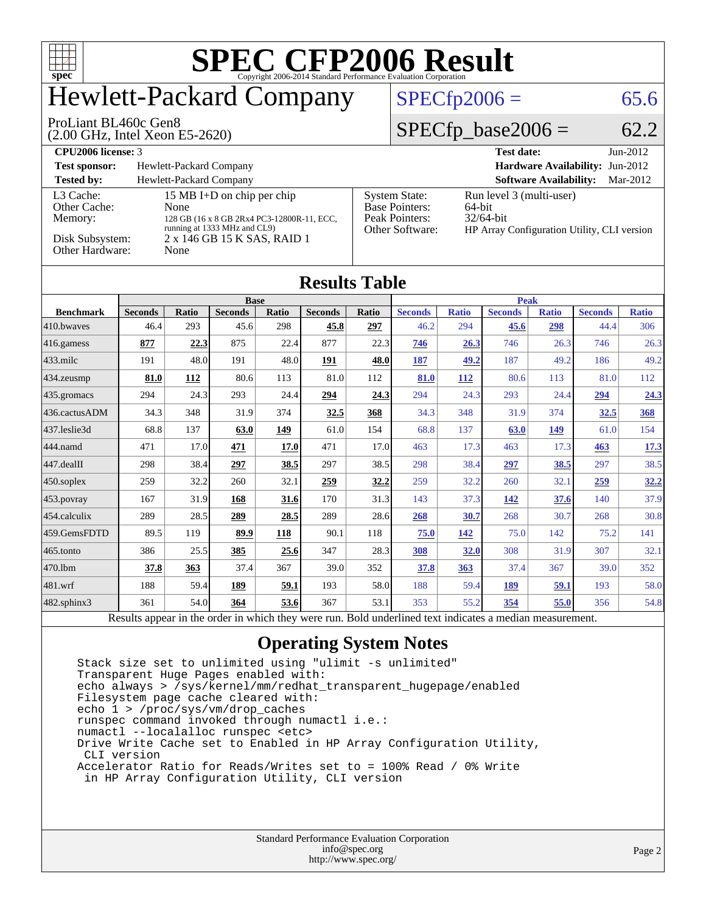

## Hewlett-Packard Company

#### $SPECTp2006 = 65.6$

#### ProLiant BL460c Gen8

(2.00 GHz, Intel Xeon E5-2620)

 $SPECfp\_base2006 = 62.2$ 

| CPU <sub>2006</sub> license: 3       |                                                                                                                  |                                                                                    | <b>Test date:</b><br>$Jun-2012$                                                                      |  |  |  |  |
|--------------------------------------|------------------------------------------------------------------------------------------------------------------|------------------------------------------------------------------------------------|------------------------------------------------------------------------------------------------------|--|--|--|--|
| <b>Test sponsor:</b>                 | Hewlett-Packard Company                                                                                          |                                                                                    |                                                                                                      |  |  |  |  |
| <b>Tested by:</b>                    | Hewlett-Packard Company                                                                                          |                                                                                    | <b>Software Availability:</b><br>Mar-2012                                                            |  |  |  |  |
| L3 Cache:<br>Other Cache:<br>Memory: | 15 MB I+D on chip per chip<br>None<br>128 GB (16 x 8 GB 2Rx4 PC3-12800R-11, ECC,<br>running at 1333 MHz and CL9) | <b>System State:</b><br><b>Base Pointers:</b><br>Peak Pointers:<br>Other Software: | Run level 3 (multi-user)<br>$64$ -bit<br>$32/64$ -bit<br>HP Array Configuration Utility, CLI version |  |  |  |  |
| Disk Subsystem:<br>Other Hardware:   | 2 x 146 GB 15 K SAS, RAID 1<br>None                                                                              |                                                                                    |                                                                                                      |  |  |  |  |

| <b>Results Table</b>   |                |       |                |       |                |              |                |              |                |              |                |              |
|------------------------|----------------|-------|----------------|-------|----------------|--------------|----------------|--------------|----------------|--------------|----------------|--------------|
|                        | <b>Base</b>    |       |                |       |                |              | <b>Peak</b>    |              |                |              |                |              |
| <b>Benchmark</b>       | <b>Seconds</b> | Ratio | <b>Seconds</b> | Ratio | <b>Seconds</b> | <b>Ratio</b> | <b>Seconds</b> | <b>Ratio</b> | <b>Seconds</b> | <b>Ratio</b> | <b>Seconds</b> | <b>Ratio</b> |
| 410.bwayes             | 46.4           | 293   | 45.6           | 298   | 45.8           | 297          | 46.2           | 294          | 45.6           | 298          | 44.4           | 306          |
| $416$ .gamess          | 877            | 22.3  | 875            | 22.4  | 877            | 22.3         | 746            | 26.3         | 746            | 26.3         | 746            | 26.3         |
| $ 433 \text{.}$ milc   | 191            | 48.0  | 191            | 48.0  | 191            | 48.0         | 187            | 49.2         | 187            | 49.2         | 186            | 49.2         |
| 434.zeusmp             | 81.0           | 112   | 80.6           | 113   | 81.0           | 112          | 81.0           | 112          | 80.6           | 113          | 81.0           | 112          |
| $435$ .gromacs         | 294            | 24.3  | 293            | 24.4  | 294            | 24.3         | 294            | 24.3         | 293            | 24.4         | 294            | 24.3         |
| 436.cactusADM          | 34.3           | 348   | 31.9           | 374   | 32.5           | 368          | 34.3           | 348          | 31.9           | 374          | 32.5           | 368          |
| 437.leslie3d           | 68.8           | 137   | 63.0           | 149   | 61.0           | 154          | 68.8           | 137          | 63.0           | 149          | 61.0           | 154          |
| 444.namd               | 471            | 17.0  | 471            | 17.0  | 471            | 17.0         | 463            | 17.3         | 463            | 17.3         | 463            | 17.3         |
| $ 447 \text{.}$ dealII | 298            | 38.4  | 297            | 38.5  | 297            | 38.5         | 298            | 38.4         | 297            | 38.5         | 297            | 38.5         |
| $ 450$ .soplex         | 259            | 32.2  | 260            | 32.1  | 259            | 32.2         | 259            | 32.2         | 260            | 32.1         | 259            | <u>32.2</u>  |
| $ 453$ . povray        | 167            | 31.9  | 168            | 31.6  | 170            | 31.3         | 143            | 37.3         | 142            | 37.6         | 140            | 37.9         |
| 454.calculix           | 289            | 28.5  | 289            | 28.5  | 289            | 28.6         | 268            | 30.7         | 268            | 30.7         | 268            | 30.8         |
| 459.GemsFDTD           | 89.5           | 119   | 89.9           | 118   | 90.1           | 118          | 75.0           | 142          | 75.0           | 142          | 75.2           | 141          |
| 465.tonto              | 386            | 25.5  | 385            | 25.6  | 347            | 28.3         | 308            | 32.0         | 308            | 31.9         | 307            | 32.1         |
| 470.1bm                | 37.8           | 363   | 37.4           | 367   | 39.0           | 352          | 37.8           | 363          | 37.4           | 367          | 39.0           | 352          |
| $ 481$ .wrf            | 188            | 59.4  | 189            | 59.1  | 193            | 58.0         | 188            | 59.4         | 189            | 59.1         | 193            | 58.0         |
| 482.sphinx3            | 361            | 54.0  | <u>364</u>     | 53.6  | 367            | 53.1         | 353            | 55.2         | 354            | 55.0         | 356            | 54.8         |

Results appear in the [order in which they were run.](http://www.spec.org/auto/cpu2006/Docs/result-fields.html#RunOrder) Bold underlined text [indicates a median measurement.](http://www.spec.org/auto/cpu2006/Docs/result-fields.html#Median)

#### **[Operating System Notes](http://www.spec.org/auto/cpu2006/Docs/result-fields.html#OperatingSystemNotes)**

 Stack size set to unlimited using "ulimit -s unlimited" Transparent Huge Pages enabled with: echo always > /sys/kernel/mm/redhat\_transparent\_hugepage/enabled Filesystem page cache cleared with: echo 1 > /proc/sys/vm/drop\_caches runspec command invoked through numactl i.e.: numactl --localalloc runspec <etc> Drive Write Cache set to Enabled in HP Array Configuration Utility, CLI version Accelerator Ratio for Reads/Writes set to = 100% Read / 0% Write in HP Array Configuration Utility, CLI version

| <b>Standard Performance Evaluation Corporation</b> |
|----------------------------------------------------|
| info@spec.org                                      |
| http://www.spec.org/                               |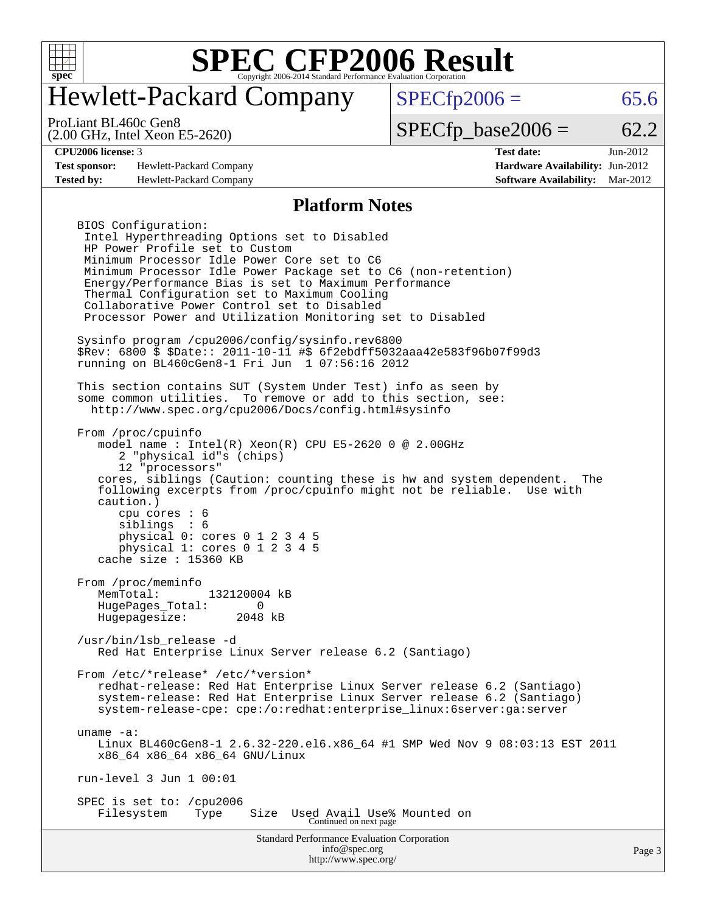

### Hewlett-Packard Company

ProLiant BL460c Gen8

(2.00 GHz, Intel Xeon E5-2620)

 $SPECTp2006 = 65.6$ 

#### $SPECTp\_base2006 = 62.2$

**[Test sponsor:](http://www.spec.org/auto/cpu2006/Docs/result-fields.html#Testsponsor)** Hewlett-Packard Company **[Hardware Availability:](http://www.spec.org/auto/cpu2006/Docs/result-fields.html#HardwareAvailability)** Jun-2012 **[Tested by:](http://www.spec.org/auto/cpu2006/Docs/result-fields.html#Testedby)** Hewlett-Packard Company **[Software Availability:](http://www.spec.org/auto/cpu2006/Docs/result-fields.html#SoftwareAvailability)** Mar-2012

**[CPU2006 license:](http://www.spec.org/auto/cpu2006/Docs/result-fields.html#CPU2006license)** 3 **[Test date:](http://www.spec.org/auto/cpu2006/Docs/result-fields.html#Testdate)** Jun-2012

#### **[Platform Notes](http://www.spec.org/auto/cpu2006/Docs/result-fields.html#PlatformNotes)**

Standard Performance Evaluation Corporation BIOS Configuration: Intel Hyperthreading Options set to Disabled HP Power Profile set to Custom Minimum Processor Idle Power Core set to C6 Minimum Processor Idle Power Package set to C6 (non-retention) Energy/Performance Bias is set to Maximum Performance Thermal Configuration set to Maximum Cooling Collaborative Power Control set to Disabled Processor Power and Utilization Monitoring set to Disabled Sysinfo program /cpu2006/config/sysinfo.rev6800 \$Rev: 6800 \$ \$Date:: 2011-10-11 #\$ 6f2ebdff5032aaa42e583f96b07f99d3 running on BL460cGen8-1 Fri Jun 1 07:56:16 2012 This section contains SUT (System Under Test) info as seen by some common utilities. To remove or add to this section, see: <http://www.spec.org/cpu2006/Docs/config.html#sysinfo> From /proc/cpuinfo model name : Intel(R) Xeon(R) CPU E5-2620 0 @ 2.00GHz 2 "physical id"s (chips) 12 "processors" cores, siblings (Caution: counting these is hw and system dependent. The following excerpts from /proc/cpuinfo might not be reliable. Use with caution.) cpu cores : 6 siblings : 6 physical 0: cores 0 1 2 3 4 5 physical 1: cores 0 1 2 3 4 5 cache size : 15360 KB From /proc/meminfo MemTotal: 132120004 kB HugePages\_Total: 0<br>Hugepagesize: 2048 kB Hugepagesize: /usr/bin/lsb\_release -d Red Hat Enterprise Linux Server release 6.2 (Santiago) From /etc/\*release\* /etc/\*version\* redhat-release: Red Hat Enterprise Linux Server release 6.2 (Santiago) system-release: Red Hat Enterprise Linux Server release 6.2 (Santiago) system-release-cpe: cpe:/o:redhat:enterprise\_linux:6server:ga:server uname -a: Linux BL460cGen8-1 2.6.32-220.el6.x86 64 #1 SMP Wed Nov 9 08:03:13 EST 2011 x86\_64 x86\_64 x86\_64 GNU/Linux run-level 3 Jun 1 00:01 SPEC is set to: /cpu2006 Filesystem Type Size Used Avail Use% Mounted on Continued on next page

> [info@spec.org](mailto:info@spec.org) <http://www.spec.org/>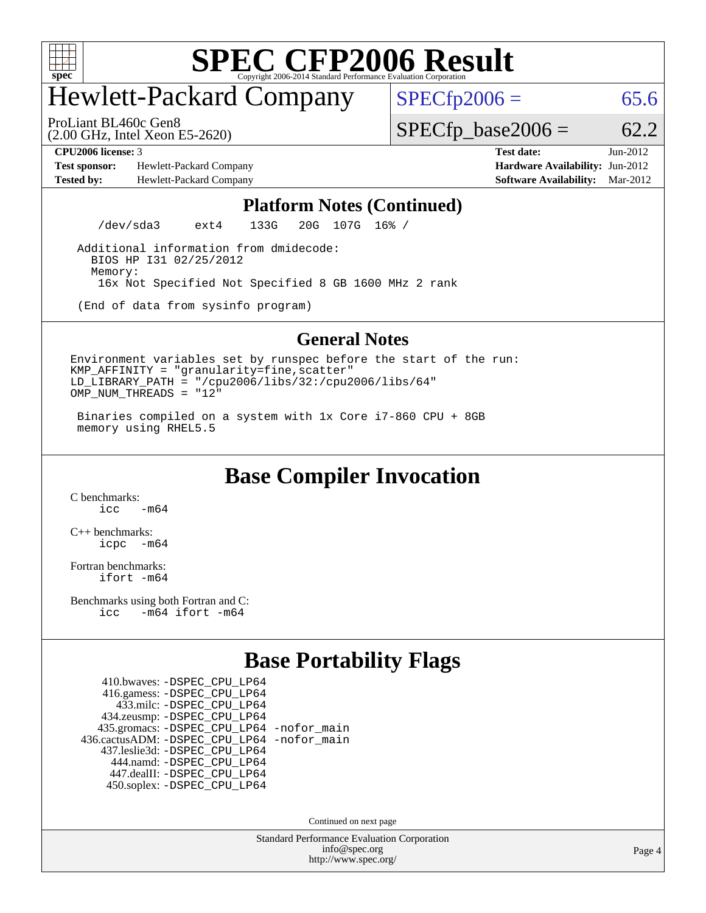

### Hewlett-Packard Company

 $SPECfp2006 = 65.6$  $SPECfp2006 = 65.6$ 

(2.00 GHz, Intel Xeon E5-2620) ProLiant BL460c Gen8

 $SPECTp\_base2006 = 62.2$ 

**[Test sponsor:](http://www.spec.org/auto/cpu2006/Docs/result-fields.html#Testsponsor)** Hewlett-Packard Company **[Hardware Availability:](http://www.spec.org/auto/cpu2006/Docs/result-fields.html#HardwareAvailability)** Jun-2012 **[Tested by:](http://www.spec.org/auto/cpu2006/Docs/result-fields.html#Testedby)** Hewlett-Packard Company **[Software Availability:](http://www.spec.org/auto/cpu2006/Docs/result-fields.html#SoftwareAvailability)** Mar-2012

**[CPU2006 license:](http://www.spec.org/auto/cpu2006/Docs/result-fields.html#CPU2006license)** 3 **[Test date:](http://www.spec.org/auto/cpu2006/Docs/result-fields.html#Testdate)** Jun-2012

#### **[Platform Notes \(Continued\)](http://www.spec.org/auto/cpu2006/Docs/result-fields.html#PlatformNotes)**

/dev/sda3 ext4 133G 20G 107G 16% /

 Additional information from dmidecode: BIOS HP I31 02/25/2012 Memory: 16x Not Specified Not Specified 8 GB 1600 MHz 2 rank

(End of data from sysinfo program)

#### **[General Notes](http://www.spec.org/auto/cpu2006/Docs/result-fields.html#GeneralNotes)**

Environment variables set by runspec before the start of the run:  $KMP$  AFFINITY = "granularity=fine, scatter" LD  $\overline{L}$  LIBRARY\_PATH = "/cpu2006/libs/32:/cpu2006/libs/64" OMP\_NUM\_THREADS = "12"

 Binaries compiled on a system with 1x Core i7-860 CPU + 8GB memory using RHEL5.5

**[Base Compiler Invocation](http://www.spec.org/auto/cpu2006/Docs/result-fields.html#BaseCompilerInvocation)**

[C benchmarks](http://www.spec.org/auto/cpu2006/Docs/result-fields.html#Cbenchmarks):  $icc$   $-m64$ 

[C++ benchmarks:](http://www.spec.org/auto/cpu2006/Docs/result-fields.html#CXXbenchmarks) [icpc -m64](http://www.spec.org/cpu2006/results/res2012q3/cpu2006-20120911-24428.flags.html#user_CXXbase_intel_icpc_64bit_bedb90c1146cab66620883ef4f41a67e)

[Fortran benchmarks](http://www.spec.org/auto/cpu2006/Docs/result-fields.html#Fortranbenchmarks): [ifort -m64](http://www.spec.org/cpu2006/results/res2012q3/cpu2006-20120911-24428.flags.html#user_FCbase_intel_ifort_64bit_ee9d0fb25645d0210d97eb0527dcc06e)

[Benchmarks using both Fortran and C](http://www.spec.org/auto/cpu2006/Docs/result-fields.html#BenchmarksusingbothFortranandC): [icc -m64](http://www.spec.org/cpu2006/results/res2012q3/cpu2006-20120911-24428.flags.html#user_CC_FCbase_intel_icc_64bit_0b7121f5ab7cfabee23d88897260401c) [ifort -m64](http://www.spec.org/cpu2006/results/res2012q3/cpu2006-20120911-24428.flags.html#user_CC_FCbase_intel_ifort_64bit_ee9d0fb25645d0210d97eb0527dcc06e)

#### **[Base Portability Flags](http://www.spec.org/auto/cpu2006/Docs/result-fields.html#BasePortabilityFlags)**

 410.bwaves: [-DSPEC\\_CPU\\_LP64](http://www.spec.org/cpu2006/results/res2012q3/cpu2006-20120911-24428.flags.html#suite_basePORTABILITY410_bwaves_DSPEC_CPU_LP64) 416.gamess: [-DSPEC\\_CPU\\_LP64](http://www.spec.org/cpu2006/results/res2012q3/cpu2006-20120911-24428.flags.html#suite_basePORTABILITY416_gamess_DSPEC_CPU_LP64) 433.milc: [-DSPEC\\_CPU\\_LP64](http://www.spec.org/cpu2006/results/res2012q3/cpu2006-20120911-24428.flags.html#suite_basePORTABILITY433_milc_DSPEC_CPU_LP64) 434.zeusmp: [-DSPEC\\_CPU\\_LP64](http://www.spec.org/cpu2006/results/res2012q3/cpu2006-20120911-24428.flags.html#suite_basePORTABILITY434_zeusmp_DSPEC_CPU_LP64) 435.gromacs: [-DSPEC\\_CPU\\_LP64](http://www.spec.org/cpu2006/results/res2012q3/cpu2006-20120911-24428.flags.html#suite_basePORTABILITY435_gromacs_DSPEC_CPU_LP64) [-nofor\\_main](http://www.spec.org/cpu2006/results/res2012q3/cpu2006-20120911-24428.flags.html#user_baseLDPORTABILITY435_gromacs_f-nofor_main) 436.cactusADM: [-DSPEC\\_CPU\\_LP64](http://www.spec.org/cpu2006/results/res2012q3/cpu2006-20120911-24428.flags.html#suite_basePORTABILITY436_cactusADM_DSPEC_CPU_LP64) [-nofor\\_main](http://www.spec.org/cpu2006/results/res2012q3/cpu2006-20120911-24428.flags.html#user_baseLDPORTABILITY436_cactusADM_f-nofor_main) 437.leslie3d: [-DSPEC\\_CPU\\_LP64](http://www.spec.org/cpu2006/results/res2012q3/cpu2006-20120911-24428.flags.html#suite_basePORTABILITY437_leslie3d_DSPEC_CPU_LP64) 444.namd: [-DSPEC\\_CPU\\_LP64](http://www.spec.org/cpu2006/results/res2012q3/cpu2006-20120911-24428.flags.html#suite_basePORTABILITY444_namd_DSPEC_CPU_LP64) 447.dealII: [-DSPEC\\_CPU\\_LP64](http://www.spec.org/cpu2006/results/res2012q3/cpu2006-20120911-24428.flags.html#suite_basePORTABILITY447_dealII_DSPEC_CPU_LP64) 450.soplex: [-DSPEC\\_CPU\\_LP64](http://www.spec.org/cpu2006/results/res2012q3/cpu2006-20120911-24428.flags.html#suite_basePORTABILITY450_soplex_DSPEC_CPU_LP64)

Continued on next page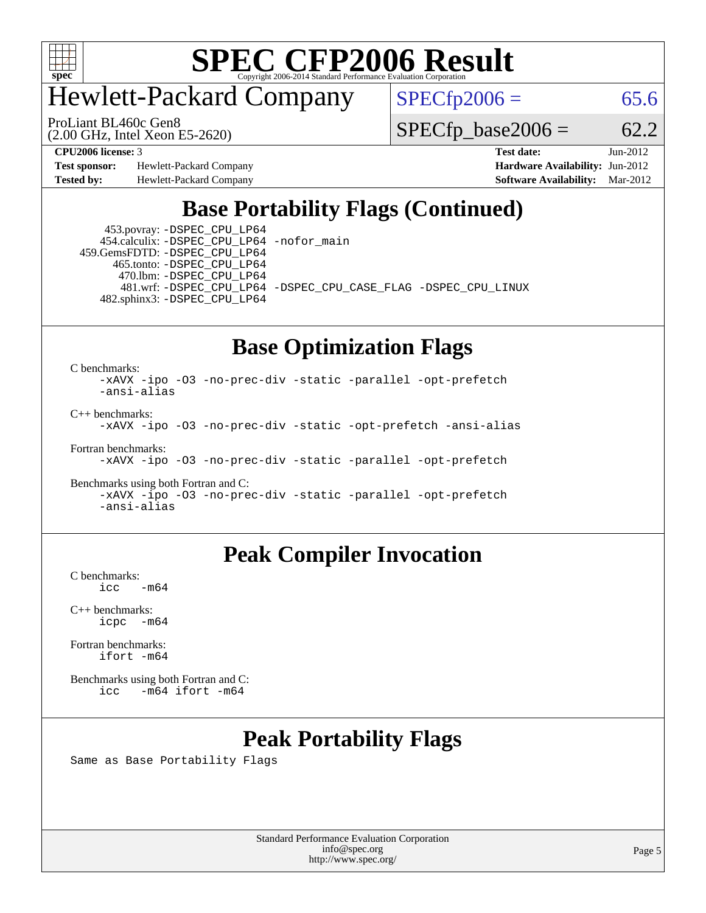

### Hewlett-Packard Company

(2.00 GHz, Intel Xeon E5-2620) ProLiant BL460c Gen8

 $SPECfp2006 = 65.6$  $SPECfp2006 = 65.6$ 

 $SPECfp\_base2006 = 62.2$ 

**[Test sponsor:](http://www.spec.org/auto/cpu2006/Docs/result-fields.html#Testsponsor)** Hewlett-Packard Company **[Hardware Availability:](http://www.spec.org/auto/cpu2006/Docs/result-fields.html#HardwareAvailability)** Jun-2012

**[CPU2006 license:](http://www.spec.org/auto/cpu2006/Docs/result-fields.html#CPU2006license)** 3 **[Test date:](http://www.spec.org/auto/cpu2006/Docs/result-fields.html#Testdate)** Jun-2012 **[Tested by:](http://www.spec.org/auto/cpu2006/Docs/result-fields.html#Testedby)** Hewlett-Packard Company **[Software Availability:](http://www.spec.org/auto/cpu2006/Docs/result-fields.html#SoftwareAvailability)** Mar-2012

#### **[Base Portability Flags \(Continued\)](http://www.spec.org/auto/cpu2006/Docs/result-fields.html#BasePortabilityFlags)**

 453.povray: [-DSPEC\\_CPU\\_LP64](http://www.spec.org/cpu2006/results/res2012q3/cpu2006-20120911-24428.flags.html#suite_basePORTABILITY453_povray_DSPEC_CPU_LP64) 454.calculix: [-DSPEC\\_CPU\\_LP64](http://www.spec.org/cpu2006/results/res2012q3/cpu2006-20120911-24428.flags.html#suite_basePORTABILITY454_calculix_DSPEC_CPU_LP64) [-nofor\\_main](http://www.spec.org/cpu2006/results/res2012q3/cpu2006-20120911-24428.flags.html#user_baseLDPORTABILITY454_calculix_f-nofor_main)

 459.GemsFDTD: [-DSPEC\\_CPU\\_LP64](http://www.spec.org/cpu2006/results/res2012q3/cpu2006-20120911-24428.flags.html#suite_basePORTABILITY459_GemsFDTD_DSPEC_CPU_LP64) 465.tonto: [-DSPEC\\_CPU\\_LP64](http://www.spec.org/cpu2006/results/res2012q3/cpu2006-20120911-24428.flags.html#suite_basePORTABILITY465_tonto_DSPEC_CPU_LP64) 470.lbm: [-DSPEC\\_CPU\\_LP64](http://www.spec.org/cpu2006/results/res2012q3/cpu2006-20120911-24428.flags.html#suite_basePORTABILITY470_lbm_DSPEC_CPU_LP64) 482.sphinx3: [-DSPEC\\_CPU\\_LP64](http://www.spec.org/cpu2006/results/res2012q3/cpu2006-20120911-24428.flags.html#suite_basePORTABILITY482_sphinx3_DSPEC_CPU_LP64)

481.wrf: [-DSPEC\\_CPU\\_LP64](http://www.spec.org/cpu2006/results/res2012q3/cpu2006-20120911-24428.flags.html#suite_basePORTABILITY481_wrf_DSPEC_CPU_LP64) [-DSPEC\\_CPU\\_CASE\\_FLAG](http://www.spec.org/cpu2006/results/res2012q3/cpu2006-20120911-24428.flags.html#b481.wrf_baseCPORTABILITY_DSPEC_CPU_CASE_FLAG) [-DSPEC\\_CPU\\_LINUX](http://www.spec.org/cpu2006/results/res2012q3/cpu2006-20120911-24428.flags.html#b481.wrf_baseCPORTABILITY_DSPEC_CPU_LINUX)

#### **[Base Optimization Flags](http://www.spec.org/auto/cpu2006/Docs/result-fields.html#BaseOptimizationFlags)**

[C benchmarks](http://www.spec.org/auto/cpu2006/Docs/result-fields.html#Cbenchmarks):

[-xAVX](http://www.spec.org/cpu2006/results/res2012q3/cpu2006-20120911-24428.flags.html#user_CCbase_f-xAVX) [-ipo](http://www.spec.org/cpu2006/results/res2012q3/cpu2006-20120911-24428.flags.html#user_CCbase_f-ipo) [-O3](http://www.spec.org/cpu2006/results/res2012q3/cpu2006-20120911-24428.flags.html#user_CCbase_f-O3) [-no-prec-div](http://www.spec.org/cpu2006/results/res2012q3/cpu2006-20120911-24428.flags.html#user_CCbase_f-no-prec-div) [-static](http://www.spec.org/cpu2006/results/res2012q3/cpu2006-20120911-24428.flags.html#user_CCbase_f-static) [-parallel](http://www.spec.org/cpu2006/results/res2012q3/cpu2006-20120911-24428.flags.html#user_CCbase_f-parallel) [-opt-prefetch](http://www.spec.org/cpu2006/results/res2012q3/cpu2006-20120911-24428.flags.html#user_CCbase_f-opt-prefetch) [-ansi-alias](http://www.spec.org/cpu2006/results/res2012q3/cpu2006-20120911-24428.flags.html#user_CCbase_f-ansi-alias) [C++ benchmarks:](http://www.spec.org/auto/cpu2006/Docs/result-fields.html#CXXbenchmarks)

[-xAVX](http://www.spec.org/cpu2006/results/res2012q3/cpu2006-20120911-24428.flags.html#user_CXXbase_f-xAVX) [-ipo](http://www.spec.org/cpu2006/results/res2012q3/cpu2006-20120911-24428.flags.html#user_CXXbase_f-ipo) [-O3](http://www.spec.org/cpu2006/results/res2012q3/cpu2006-20120911-24428.flags.html#user_CXXbase_f-O3) [-no-prec-div](http://www.spec.org/cpu2006/results/res2012q3/cpu2006-20120911-24428.flags.html#user_CXXbase_f-no-prec-div) [-static](http://www.spec.org/cpu2006/results/res2012q3/cpu2006-20120911-24428.flags.html#user_CXXbase_f-static) [-opt-prefetch](http://www.spec.org/cpu2006/results/res2012q3/cpu2006-20120911-24428.flags.html#user_CXXbase_f-opt-prefetch) [-ansi-alias](http://www.spec.org/cpu2006/results/res2012q3/cpu2006-20120911-24428.flags.html#user_CXXbase_f-ansi-alias)

[Fortran benchmarks](http://www.spec.org/auto/cpu2006/Docs/result-fields.html#Fortranbenchmarks):

[-xAVX](http://www.spec.org/cpu2006/results/res2012q3/cpu2006-20120911-24428.flags.html#user_FCbase_f-xAVX) [-ipo](http://www.spec.org/cpu2006/results/res2012q3/cpu2006-20120911-24428.flags.html#user_FCbase_f-ipo) [-O3](http://www.spec.org/cpu2006/results/res2012q3/cpu2006-20120911-24428.flags.html#user_FCbase_f-O3) [-no-prec-div](http://www.spec.org/cpu2006/results/res2012q3/cpu2006-20120911-24428.flags.html#user_FCbase_f-no-prec-div) [-static](http://www.spec.org/cpu2006/results/res2012q3/cpu2006-20120911-24428.flags.html#user_FCbase_f-static) [-parallel](http://www.spec.org/cpu2006/results/res2012q3/cpu2006-20120911-24428.flags.html#user_FCbase_f-parallel) [-opt-prefetch](http://www.spec.org/cpu2006/results/res2012q3/cpu2006-20120911-24428.flags.html#user_FCbase_f-opt-prefetch)

```
Benchmarks using both Fortran and C: 
    -xAVX -ipo -O3 -no-prec-div -static -parallel -opt-prefetch
    -ansi-alias
```
#### **[Peak Compiler Invocation](http://www.spec.org/auto/cpu2006/Docs/result-fields.html#PeakCompilerInvocation)**

[C benchmarks](http://www.spec.org/auto/cpu2006/Docs/result-fields.html#Cbenchmarks):  $-m64$ 

[C++ benchmarks:](http://www.spec.org/auto/cpu2006/Docs/result-fields.html#CXXbenchmarks) [icpc -m64](http://www.spec.org/cpu2006/results/res2012q3/cpu2006-20120911-24428.flags.html#user_CXXpeak_intel_icpc_64bit_bedb90c1146cab66620883ef4f41a67e)

[Fortran benchmarks](http://www.spec.org/auto/cpu2006/Docs/result-fields.html#Fortranbenchmarks): [ifort -m64](http://www.spec.org/cpu2006/results/res2012q3/cpu2006-20120911-24428.flags.html#user_FCpeak_intel_ifort_64bit_ee9d0fb25645d0210d97eb0527dcc06e)

[Benchmarks using both Fortran and C](http://www.spec.org/auto/cpu2006/Docs/result-fields.html#BenchmarksusingbothFortranandC): [icc -m64](http://www.spec.org/cpu2006/results/res2012q3/cpu2006-20120911-24428.flags.html#user_CC_FCpeak_intel_icc_64bit_0b7121f5ab7cfabee23d88897260401c) [ifort -m64](http://www.spec.org/cpu2006/results/res2012q3/cpu2006-20120911-24428.flags.html#user_CC_FCpeak_intel_ifort_64bit_ee9d0fb25645d0210d97eb0527dcc06e)

#### **[Peak Portability Flags](http://www.spec.org/auto/cpu2006/Docs/result-fields.html#PeakPortabilityFlags)**

Same as Base Portability Flags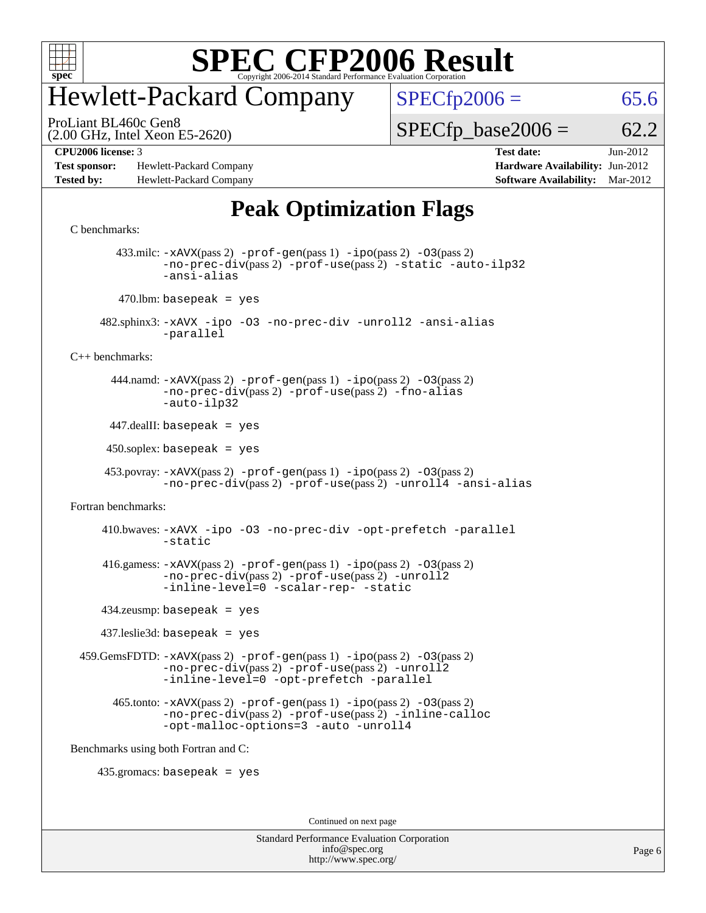

### Hewlett-Packard Company

 $SPECfp2006 = 65.6$  $SPECfp2006 = 65.6$ 

(2.00 GHz, Intel Xeon E5-2620) ProLiant BL460c Gen8

 $SPECTp\_base2006 = 62.2$ 

**[Test sponsor:](http://www.spec.org/auto/cpu2006/Docs/result-fields.html#Testsponsor)** Hewlett-Packard Company **[Hardware Availability:](http://www.spec.org/auto/cpu2006/Docs/result-fields.html#HardwareAvailability)** Jun-2012 **[Tested by:](http://www.spec.org/auto/cpu2006/Docs/result-fields.html#Testedby)** Hewlett-Packard Company **[Software Availability:](http://www.spec.org/auto/cpu2006/Docs/result-fields.html#SoftwareAvailability)** Mar-2012

**[CPU2006 license:](http://www.spec.org/auto/cpu2006/Docs/result-fields.html#CPU2006license)** 3 **[Test date:](http://www.spec.org/auto/cpu2006/Docs/result-fields.html#Testdate)** Jun-2012

#### **[Peak Optimization Flags](http://www.spec.org/auto/cpu2006/Docs/result-fields.html#PeakOptimizationFlags)**

```
C benchmarks: 
        433.milc: -xAVX(pass 2) -prof-gen(pass 1) -ipo(pass 2) -O3(pass 2)
               -no-prec-div(pass 2) -prof-use(pass 2) -static -auto-ilp32
               -ansi-alias
        470.lbm: basepeak = yes
      482.sphinx3: -xAVX -ipo -O3 -no-prec-div -unroll2 -ansi-alias
               -parallel
C++ benchmarks: 
        444.namd: -xAVX(pass 2) -prof-gen(pass 1) -ipo(pass 2) -O3(pass 2)
               -no-prec-div(pass 2) -prof-use(pass 2) -fno-alias
               -auto-ilp32
      447.dealII: basepeak = yes
      450.soplex: basepeak = yes
      453.povray: -xAVX(pass 2) -prof-gen(pass 1) -ipo(pass 2) -O3(pass 2)
               -no-prec-div-prof-use-unroll4-ansi-alias
Fortran benchmarks: 
      410.bwaves: -xAVX -ipo -O3 -no-prec-div -opt-prefetch -parallel
                -static
      416.gamess: -xAVX(pass 2) -prof-gen(pass 1) -ipo(pass 2) -O3(pass 2)
               -no-prec-div(pass 2) -prof-use(pass 2) -unroll2
               -inline-level=0 -scalar-rep- -static
      434.zeusmp: basepeak = yes
      437.leslie3d: basepeak = yes
  459.GemsFDTD: -xAVX(pass 2) -prof-gen(pass 1) -ipo(pass 2) -O3(pass 2)
                -no-prec-div(pass 2) -prof-use(pass 2) -unroll2
               -inline-level=0 -opt-prefetch -parallel
        465.tonto: -xAVX(pass 2) -prof-gen(pass 1) -ipo(pass 2) -O3(pass 2)
               -no-prec-div(pass 2) -prof-use(pass 2) -inline-calloc
               -opt-malloc-options=3 -auto -unroll4
Benchmarks using both Fortran and C: 
     435.gromacs: basepeak = yes
                                        Continued on next page
```